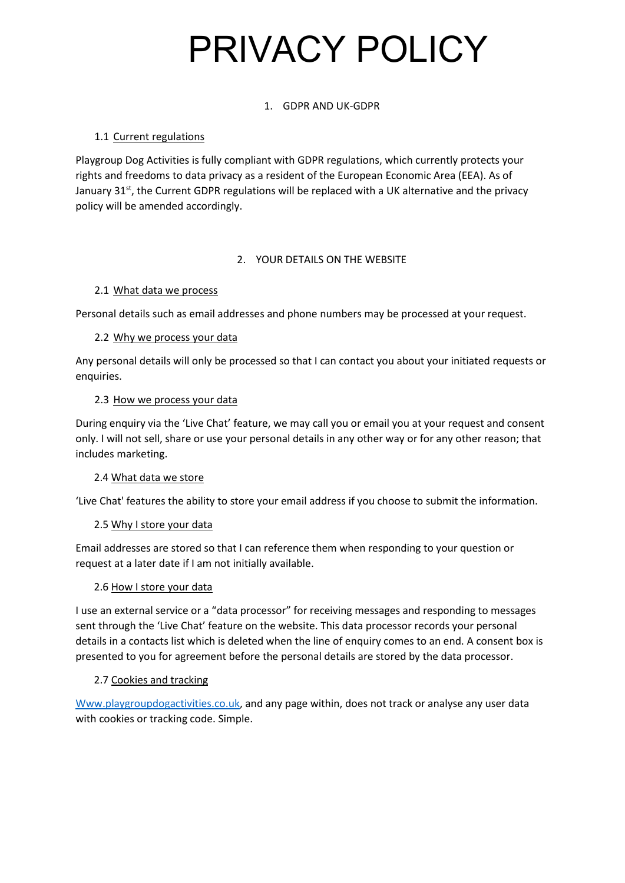# PRIVACY POLICY

## 1. GDPR AND UK-GDPR

## 1.1 Current regulations

Playgroup Dog Activities is fully compliant with GDPR regulations, which currently protects your rights and freedoms to data privacy as a resident of the European Economic Area (EEA). As of January 31<sup>st</sup>, the Current GDPR regulations will be replaced with a UK alternative and the privacy policy will be amended accordingly.

## 2. YOUR DETAILS ON THE WEBSITE

## 2.1 What data we process

Personal details such as email addresses and phone numbers may be processed at your request.

## 2.2 Why we process your data

Any personal details will only be processed so that I can contact you about your initiated requests or enquiries.

## 2.3 How we process your data

During enquiry via the 'Live Chat' feature, we may call you or email you at your request and consent only. I will not sell, share or use your personal details in any other way or for any other reason; that includes marketing.

## 2.4 What data we store

'Live Chat' features the ability to store your email address if you choose to submit the information.

## 2.5 Why I store your data

Email addresses are stored so that I can reference them when responding to your question or request at a later date if I am not initially available.

## 2.6 How I store your data

I use an external service or a "data processor" for receiving messages and responding to messages sent through the 'Live Chat' feature on the website. This data processor records your personal details in a contacts list which is deleted when the line of enquiry comes to an end. A consent box is presented to you for agreement before the personal details are stored by the data processor.

## 2.7 Cookies and tracking

[Www.playgroupdogactivities.co.uk,](http://www.playgroupdogactivities.co.uk/) and any page within, does not track or analyse any user data with cookies or tracking code. Simple.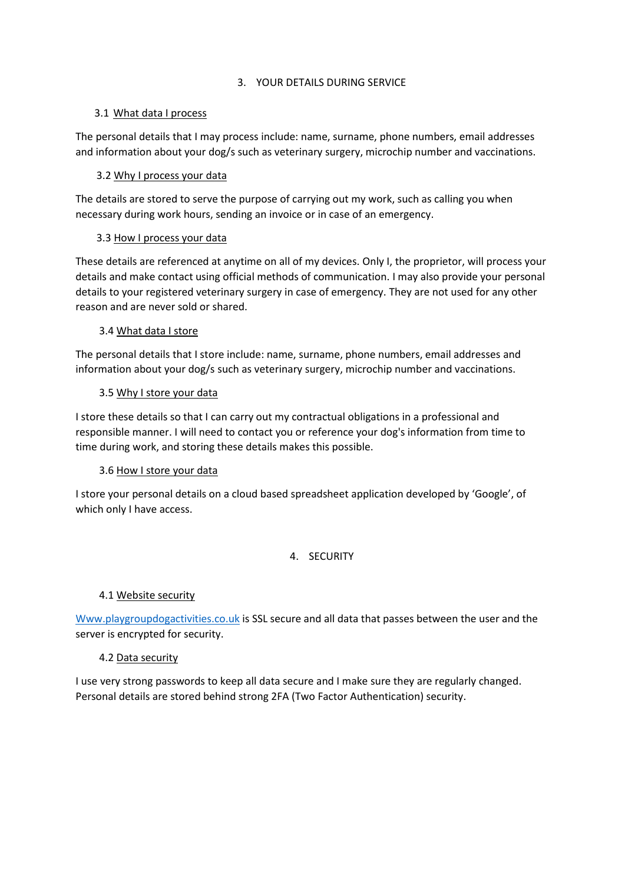#### 3. YOUR DETAILS DURING SERVICE

#### 3.1 What data I process

The personal details that I may process include: name, surname, phone numbers, email addresses and information about your dog/s such as veterinary surgery, microchip number and vaccinations.

## 3.2 Why I process your data

The details are stored to serve the purpose of carrying out my work, such as calling you when necessary during work hours, sending an invoice or in case of an emergency.

#### 3.3 How I process your data

These details are referenced at anytime on all of my devices. Only I, the proprietor, will process your details and make contact using official methods of communication. I may also provide your personal details to your registered veterinary surgery in case of emergency. They are not used for any other reason and are never sold or shared.

## 3.4 What data I store

The personal details that I store include: name, surname, phone numbers, email addresses and information about your dog/s such as veterinary surgery, microchip number and vaccinations.

#### 3.5 Why I store your data

I store these details so that I can carry out my contractual obligations in a professional and responsible manner. I will need to contact you or reference your dog's information from time to time during work, and storing these details makes this possible.

## 3.6 How I store your data

I store your personal details on a cloud based spreadsheet application developed by 'Google', of which only I have access.

## 4. SECURITY

## 4.1 Website security

[Www.playgroupdogactivities.co.uk](http://www.playgroupdogactivities.co.uk/) is SSL secure and all data that passes between the user and the server is encrypted for security.

## 4.2 Data security

I use very strong passwords to keep all data secure and I make sure they are regularly changed. Personal details are stored behind strong 2FA (Two Factor Authentication) security.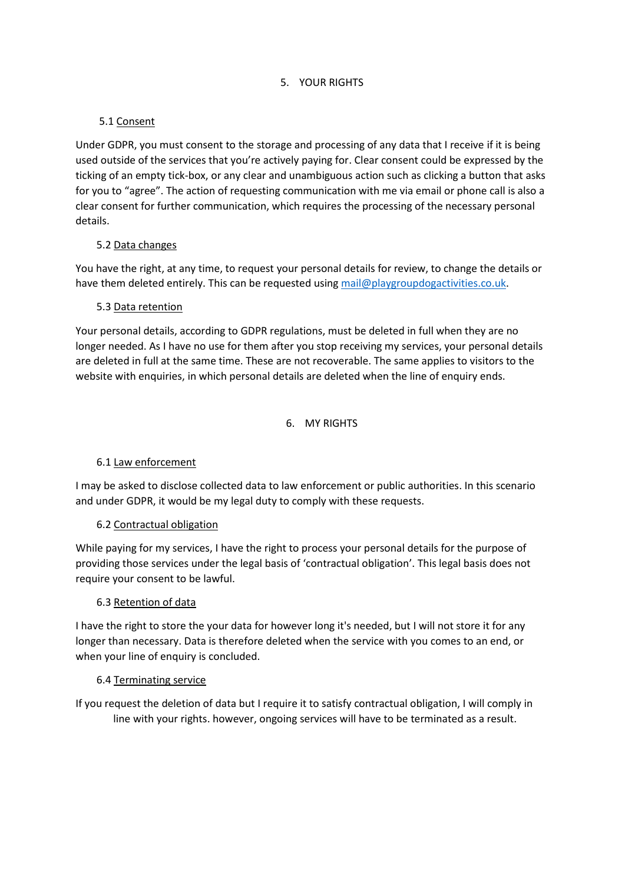#### 5. YOUR RIGHTS

## 5.1 Consent

Under GDPR, you must consent to the storage and processing of any data that I receive if it is being used outside of the services that you're actively paying for. Clear consent could be expressed by the ticking of an empty tick-box, or any clear and unambiguous action such as clicking a button that asks for you to "agree". The action of requesting communication with me via email or phone call is also a clear consent for further communication, which requires the processing of the necessary personal details.

## 5.2 Data changes

You have the right, at any time, to request your personal details for review, to change the details or have them deleted entirely. This can be requested using [mail@playgroupdogactivities.co.uk.](mailto:mail@playgroupdogactivities.co.uk)

#### 5.3 Data retention

Your personal details, according to GDPR regulations, must be deleted in full when they are no longer needed. As I have no use for them after you stop receiving my services, your personal details are deleted in full at the same time. These are not recoverable. The same applies to visitors to the website with enquiries, in which personal details are deleted when the line of enquiry ends.

## 6. MY RIGHTS

## 6.1 Law enforcement

I may be asked to disclose collected data to law enforcement or public authorities. In this scenario and under GDPR, it would be my legal duty to comply with these requests.

## 6.2 Contractual obligation

While paying for my services, I have the right to process your personal details for the purpose of providing those services under the legal basis of 'contractual obligation'. This legal basis does not require your consent to be lawful.

#### 6.3 Retention of data

I have the right to store the your data for however long it's needed, but I will not store it for any longer than necessary. Data is therefore deleted when the service with you comes to an end, or when your line of enquiry is concluded.

#### 6.4 Terminating service

If you request the deletion of data but I require it to satisfy contractual obligation, I will comply in line with your rights. however, ongoing services will have to be terminated as a result.